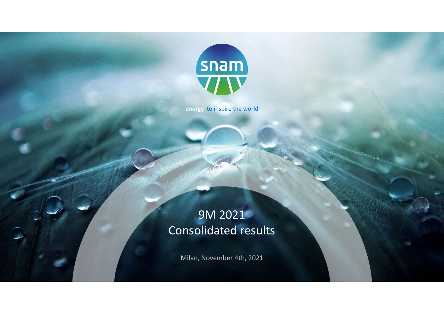

**energy** to inspire the world

# 9M 2021 Consolidated results

Milan, November 4th, 2021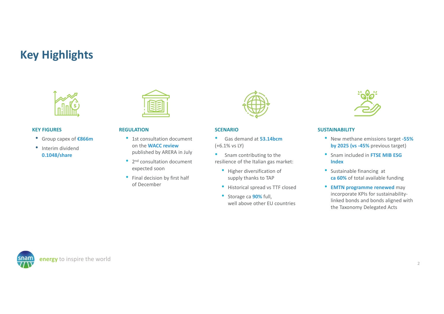# **Key Highlights**



### **KEY FIGURES**

- Group capex of **€866m**
- Interim dividend **0.1048/share**



### **REGULATION**

- 1st consultation document on the **WACC review** published by ARERA in July
- 2<sup>nd</sup> consultation document expected soon
- Final decision by first half of December



### **SCENARIO**

- • Gas demand at **53.14bcm**(+6.1% vs LY)
- $\bullet$  Snam contributing to the resilience of the Italian gas market:
	- Higher diversification of supply thanks to TAP
	- Historical spread vs TTF closed
	- Storage ca **90%** full, well above other EU countries



### **SUSTAINABILITY**

- New methane emissions target **‐55% by 2025 (vs ‐45%** previous target)
- Snam included in **FTSE MIB ESG Index**
- Sustainable financing at **ca 60%** of total available funding
- **EMTN programme renewed** may incorporate KPIs for sustainability‐ linked bonds and bonds aligned with the Taxonomy Delegated Acts

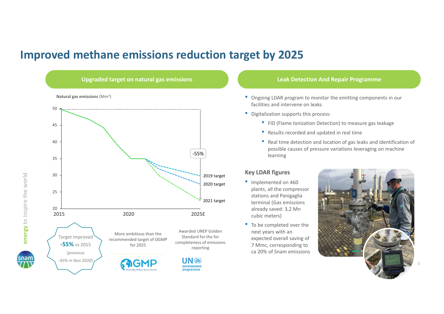# **Improved methane emissions reduction target by 2025**



**energy** to inspire the world

energy to inspire the world

- Ongoing LDAR program to monitor the emitting components in our facilities and intervene on leaks
- Digitalization supports this process:
	- FID (Flame Ionization Detection) to measure gas leakage
	- Results recorded and updated in real time
	- Real time detection and location of gas leaks and identification of possible causes of pressure variations leveraging on machine learning

### **Key LDAR figures**

- Implemented on 460 plants, all the compressor stations and Panigaglia terminal (Gas emissions already saved: 3,2 Mn cubic meters)
- To be completed over the next years with an expected overall saving of 7 Mmc, corresponding to ca 20% of Snam emissions

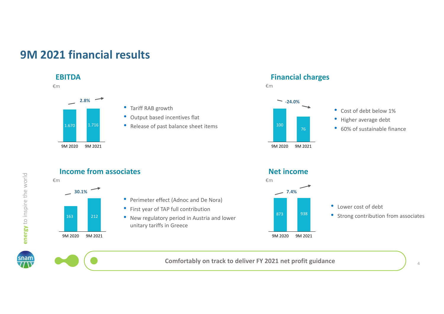# **9M 2021 financial results**

### **EBITDA**





• Tariff RAB growth

- Output based incentives flat
- Release of past balance sheet items





- Cost of debt below 1%
- Higher average debt
- 60% of sustainable finance







**Comfortably on track to deliver FY 2021 net profit guidance**

4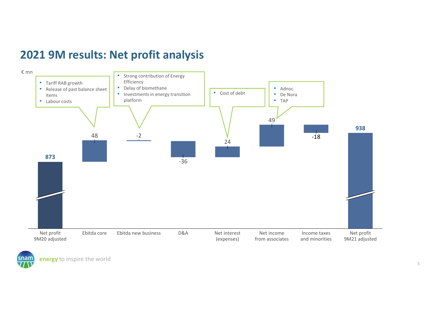# **2021 9M results: Net profit analysis**



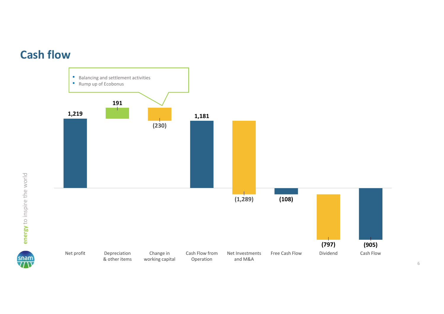



snam<br>77 N

6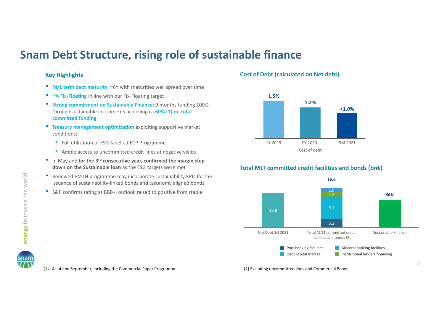# **Snam Debt Structure, rising role of sustainable finance**

### **Key Highlights**

- **M/L term debt maturity**: ~6Y with maturities well spread over time
- •**~¾ Fix‐Floating** in line with our Fix‐Floating target
- **Strong commitment on Sustainable Finance:** 9 months funding 100% through sustainable instruments achieving ca **60% (1) on total committed funding**
- • **Treasury management optimization** exploiting supportive market conditions:
	- Full utilization of ESG-labelled ECP Programme
	- Ample access to uncommitted credit lines at negative yields
- In May and **for the 3rd consecutive year, confirmed the margin step down on the Sustainable loan** as the ESG targets were met
- $\bullet$  Renewed EMTN programme may incorporate sustainability KPIs for the issuance of sustainability‐linked bonds and taxonomy aligned bonds
- S&P confirms rating at BBB+, outlook raised to positive from stable

### **Cost of Debt (calculated on Net debt)**



### **Total MLT committed credit facilities and bonds (bn€)**



(1) As of end September, including the Commercial Paper Programme

(2) Excluding uncommitted lines and Commercial Paper.

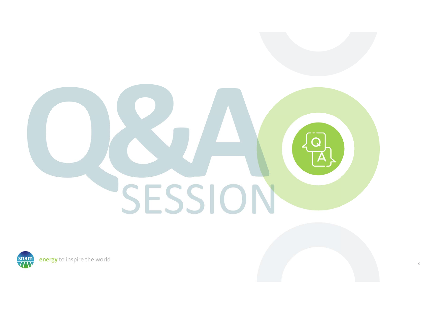# SESSION

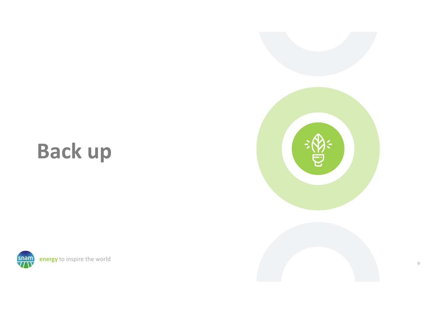# **Back up**



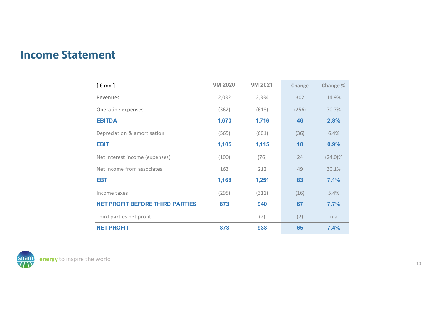## **Income Statement**

| $[~\epsilon~mn~]$                      | 9M 2020 | 9M 2021 | Change | Change %   |
|----------------------------------------|---------|---------|--------|------------|
| Revenues                               | 2,032   | 2,334   | 302    | 14.9%      |
| Operating expenses                     | (362)   | (618)   | (256)  | 70.7%      |
| <b>EBITDA</b>                          | 1,670   | 1,716   | 46     | 2.8%       |
| Depreciation & amortisation            | (565)   | (601)   | (36)   | 6.4%       |
| <b>EBIT</b>                            | 1,105   | 1,115   | 10     | 0.9%       |
| Net interest income (expenses)         | (100)   | (76)    | 24     | $(24.0)\%$ |
| Net income from associates             | 163     | 212     | 49     | 30.1%      |
| <b>EBT</b>                             | 1,168   | 1,251   | 83     | 7.1%       |
| Income taxes                           | (295)   | (311)   | (16)   | 5.4%       |
| <b>NET PROFIT BEFORE THIRD PARTIES</b> | 873     | 940     | 67     | 7.7%       |
| Third parties net profit               |         | (2)     | (2)    | n.a        |
| <b>NET PROFIT</b>                      | 873     | 938     | 65     | 7.4%       |

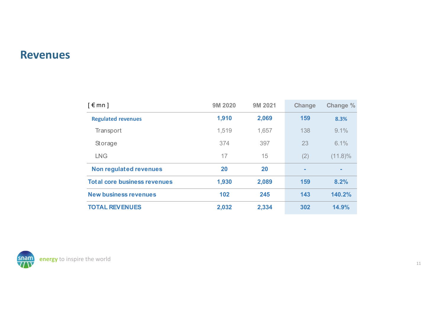### **Revenues**

| $\lceil \epsilon$ mn $\rceil$       | 9M 2020 | 9M 2021   | Change | Change %   |
|-------------------------------------|---------|-----------|--------|------------|
| <b>Regulated revenues</b>           | 1,910   | 2,069     | 159    | 8.3%       |
| Transport                           | 1,519   | 1,657     | 138    | 9.1%       |
| Storage                             | 374     | 397       | 23     | 6.1%       |
| <b>LNG</b>                          | 17      | 15        | (2)    | $(11.8)\%$ |
| Non regulated revenues              | 20      | <b>20</b> | ۰      | $\sim$     |
| <b>Total core business revenues</b> | 1,930   | 2,089     | 159    | 8.2%       |
| <b>New business revenues</b>        | 102     | 245       | 143    | 140.2%     |
| <b>TOTAL REVENUES</b>               | 2,032   | 2,334     | 302    | 14.9%      |

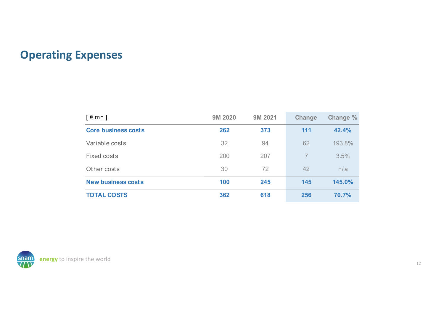# **Operating Expenses**

| $\lceil \epsilon$ mn $\rceil$ | 9M 2020 | 9M 2021 | <b>Change</b> | Change % |
|-------------------------------|---------|---------|---------------|----------|
| <b>Core business costs</b>    | 262     | 373     | 111           | 42.4%    |
| Variable costs                | 32      | 94      | 62            | 193.8%   |
| Fixed costs                   | 200     | 207     | 7             | 3.5%     |
| Other costs                   | 30      | 72      | 42            | n/a      |
| <b>New business costs</b>     | 100     | 245     | 145           | 145.0%   |
| <b>TOTAL COSTS</b>            | 362     | 618     | 256           | 70.7%    |

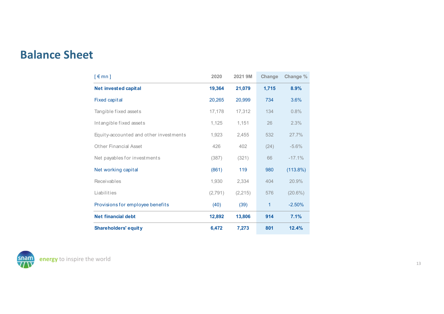# **Balance Sheet**

| $\lceil \epsilon$ mn $\rceil$          | 2020    | 2021 9M  | Change | Change %   |
|----------------------------------------|---------|----------|--------|------------|
| <b>Net invested capital</b>            | 19,364  | 21,079   | 1,715  | 8.9%       |
| <b>Fixed capital</b>                   | 20,265  | 20,999   | 734    | 3.6%       |
| Tangible fixed assets                  | 17,178  | 17,312   | 134    | 0.8%       |
| Intangible fixed assets                | 1,125   | 1,151    | 26     | 2.3%       |
| Equity-accounted and other investments | 1,923   | 2,455    | 532    | 27.7%      |
| Other Financial Asset                  | 426     | 402      | (24)   | $-5.6%$    |
| Net payables for investments           | (387)   | (321)    | 66     | $-17.1%$   |
| Net working capital                    | (861)   | 119      | 980    | (113.8%)   |
| Receivables                            | 1,930   | 2,334    | 404    | 20.9%      |
| Liabilities                            | (2,791) | (2, 215) | 576    | $(20.6\%)$ |
| Provisions for employee benefits       | (40)    | (39)     | 1      | $-2.50%$   |
| <b>Net financial debt</b>              | 12,892  | 13,806   | 914    | 7.1%       |
| <b>Shareholders' equity</b>            | 6,472   | 7,273    | 801    | 12.4%      |